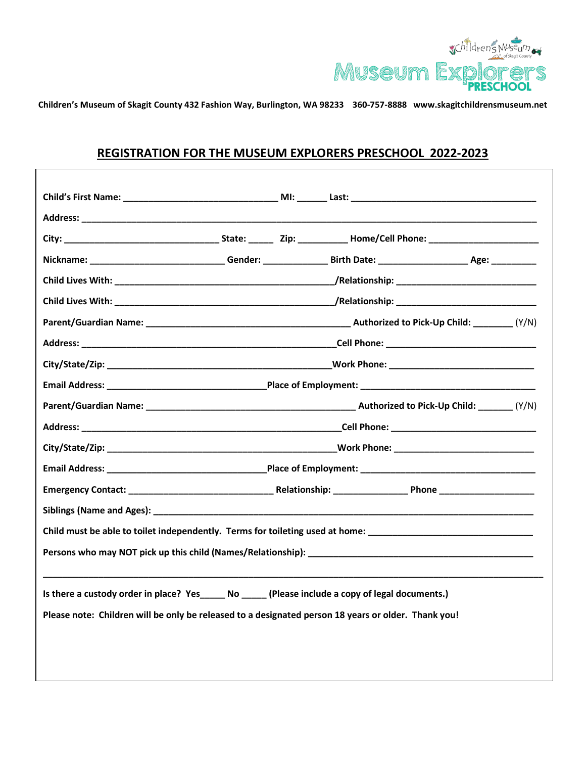

**Children's Museum of Skagit County 432 Fashion Way, Burlington, WA 98233 360-757-8888 www.skagitchildrensmuseum.net**

## **REGISTRATION FOR THE MUSEUM EXPLORERS PRESCHOOL 2022-2023**

| Parent/Guardian Name: (Y/N) Parent/Guardian Name: (Y/N)                                                         |  |  |
|-----------------------------------------------------------------------------------------------------------------|--|--|
|                                                                                                                 |  |  |
|                                                                                                                 |  |  |
|                                                                                                                 |  |  |
| Parent/Guardian Name: (Y/N) Parent/Guardian Mame: (Y/N)                                                         |  |  |
|                                                                                                                 |  |  |
|                                                                                                                 |  |  |
|                                                                                                                 |  |  |
|                                                                                                                 |  |  |
|                                                                                                                 |  |  |
| Child must be able to toilet independently. Terms for toileting used at home: ________________________________  |  |  |
| Persons who may NOT pick up this child (Names/Relationship): Name of the state of the state of the state of the |  |  |
| Is there a custody order in place? Yes______ No ______ (Please include a copy of legal documents.)              |  |  |
| Please note: Children will be only be released to a designated person 18 years or older. Thank you!             |  |  |
|                                                                                                                 |  |  |
|                                                                                                                 |  |  |
|                                                                                                                 |  |  |